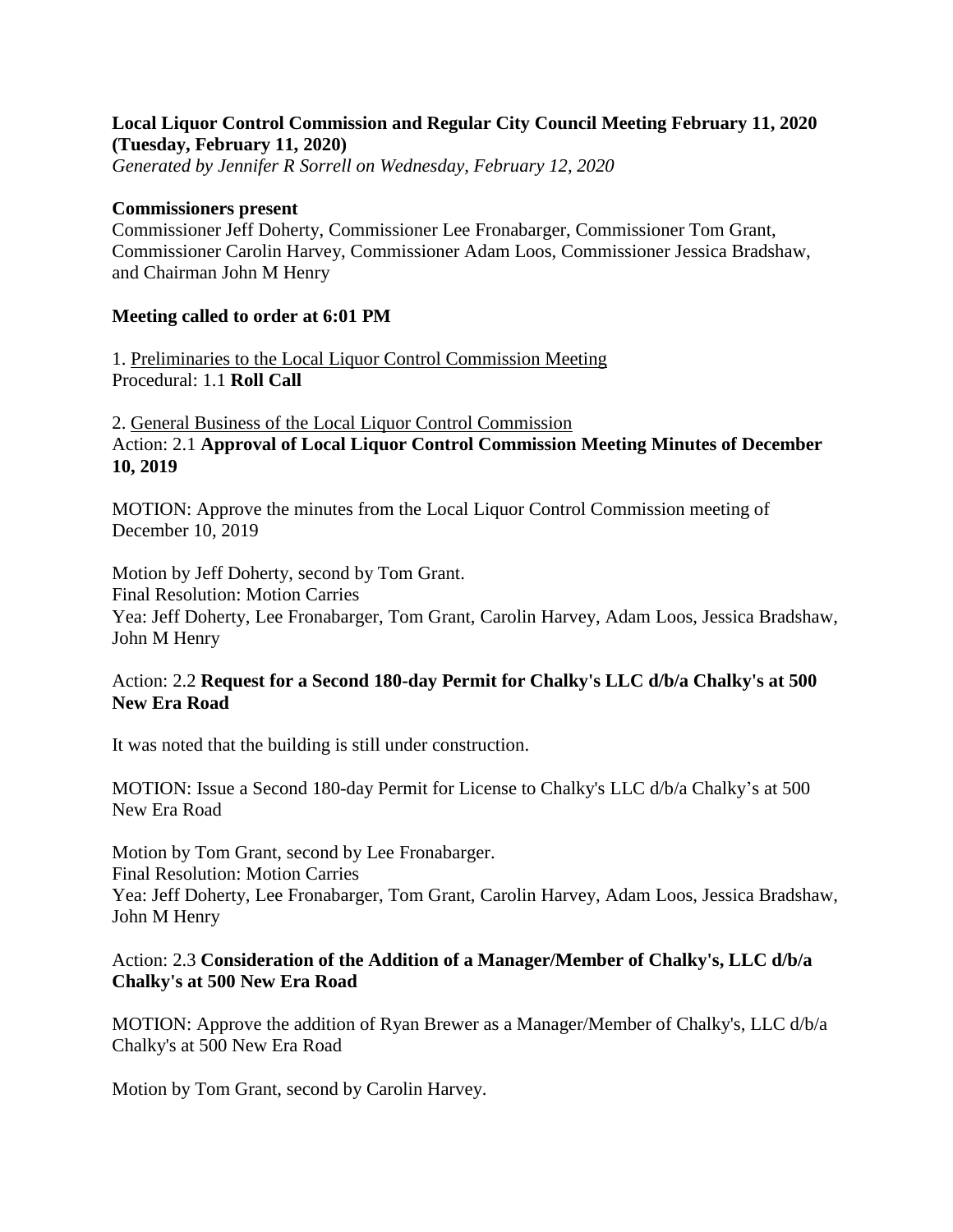## **Local Liquor Control Commission and Regular City Council Meeting February 11, 2020 (Tuesday, February 11, 2020)**

*Generated by Jennifer R Sorrell on Wednesday, February 12, 2020*

#### **Commissioners present**

Commissioner Jeff Doherty, Commissioner Lee Fronabarger, Commissioner Tom Grant, Commissioner Carolin Harvey, Commissioner Adam Loos, Commissioner Jessica Bradshaw, and Chairman John M Henry

### **Meeting called to order at 6:01 PM**

1. Preliminaries to the Local Liquor Control Commission Meeting Procedural: 1.1 **Roll Call**

2. General Business of the Local Liquor Control Commission Action: 2.1 **Approval of Local Liquor Control Commission Meeting Minutes of December 10, 2019**

MOTION: Approve the minutes from the Local Liquor Control Commission meeting of December 10, 2019

Motion by Jeff Doherty, second by Tom Grant.

Final Resolution: Motion Carries

Yea: Jeff Doherty, Lee Fronabarger, Tom Grant, Carolin Harvey, Adam Loos, Jessica Bradshaw, John M Henry

## Action: 2.2 **Request for a Second 180-day Permit for Chalky's LLC d/b/a Chalky's at 500 New Era Road**

It was noted that the building is still under construction.

MOTION: Issue a Second 180-day Permit for License to Chalky's LLC d/b/a Chalky's at 500 New Era Road

Motion by Tom Grant, second by Lee Fronabarger. Final Resolution: Motion Carries Yea: Jeff Doherty, Lee Fronabarger, Tom Grant, Carolin Harvey, Adam Loos, Jessica Bradshaw, John M Henry

## Action: 2.3 **Consideration of the Addition of a Manager/Member of Chalky's, LLC d/b/a Chalky's at 500 New Era Road**

MOTION: Approve the addition of Ryan Brewer as a Manager/Member of Chalky's, LLC d/b/a Chalky's at 500 New Era Road

Motion by Tom Grant, second by Carolin Harvey.